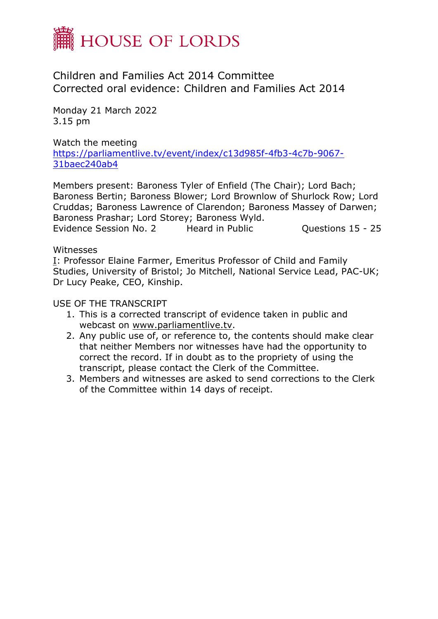

Children and Families Act 2014 Committee Corrected oral evidence: Children and Families Act 2014

Monday 21 March 2022 3.15 pm

Watch the meeting [https://parliamentlive.tv/event/index/c13d985f-4fb3-4c7b-9067-](https://parliamentlive.tv/event/index/c13d985f-4fb3-4c7b-9067-31baec240ab4) [31baec240ab4](https://parliamentlive.tv/event/index/c13d985f-4fb3-4c7b-9067-31baec240ab4)

Members present: Baroness Tyler of Enfield (The Chair); Lord Bach; Baroness Bertin; Baroness Blower; Lord Brownlow of Shurlock Row; Lord Cruddas; Baroness Lawrence of Clarendon; Baroness Massey of Darwen; Baroness Prashar; Lord Storey; Baroness Wyld. Evidence Session No. 2 Heard in Public Cuestions 15 - 25

**Witnesses** 

[I](file:///O:/Committee%20Transcripts/Children%20and%20Families%20Act%202014/2022/2022-03-21/1405832%20Hansard%20HoL%20CFAC%2021.03.22%20Evd2.docx%23Panel1): Professor Elaine Farmer, Emeritus Professor of Child and Family Studies, University of Bristol; Jo Mitchell, National Service Lead, PAC-UK; Dr Lucy Peake, CEO, Kinship.

USE OF THE TRANSCRIPT

- 1. This is a corrected transcript of evidence taken in public and webcast on [www.parliamentlive.tv.](http://www.parliamentlive.tv/)
- 2. Any public use of, or reference to, the contents should make clear that neither Members nor witnesses have had the opportunity to correct the record. If in doubt as to the propriety of using the transcript, please contact the Clerk of the Committee.
- 3. Members and witnesses are asked to send corrections to the Clerk of the Committee within 14 days of receipt.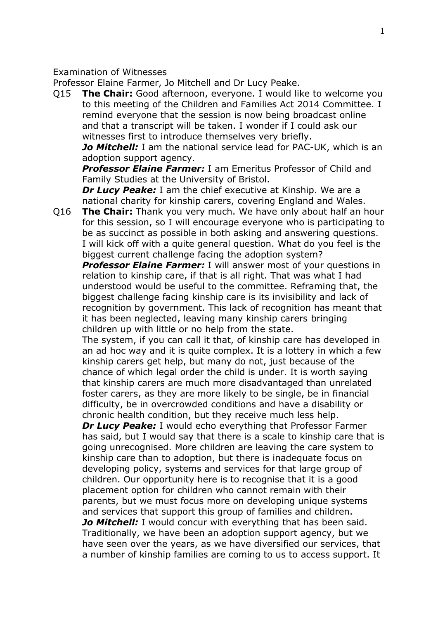Examination of Witnesses

Professor Elaine Farmer, Jo Mitchell and Dr Lucy Peake.

Q15 **The Chair:** Good afternoon, everyone. I would like to welcome you to this meeting of the Children and Families Act 2014 Committee. I remind everyone that the session is now being broadcast online and that a transcript will be taken. I wonder if I could ask our witnesses first to introduce themselves very briefly.

*Jo Mitchell:* I am the national service lead for PAC-UK, which is an adoption support agency.

*Professor Elaine Farmer:* I am Emeritus Professor of Child and Family Studies at the University of Bristol.

*Dr Lucy Peake:* I am the chief executive at Kinship. We are a national charity for kinship carers, covering England and Wales.

Q16 **The Chair:** Thank you very much. We have only about half an hour for this session, so I will encourage everyone who is participating to be as succinct as possible in both asking and answering questions. I will kick off with a quite general question. What do you feel is the biggest current challenge facing the adoption system?

**Professor Elaine Farmer:** I will answer most of your questions in relation to kinship care, if that is all right. That was what I had understood would be useful to the committee. Reframing that, the biggest challenge facing kinship care is its invisibility and lack of recognition by government. This lack of recognition has meant that it has been neglected, leaving many kinship carers bringing children up with little or no help from the state.

The system, if you can call it that, of kinship care has developed in an ad hoc way and it is quite complex. It is a lottery in which a few kinship carers get help, but many do not, just because of the chance of which legal order the child is under. It is worth saying that kinship carers are much more disadvantaged than unrelated foster carers, as they are more likely to be single, be in financial difficulty, be in overcrowded conditions and have a disability or chronic health condition, but they receive much less help.

*Dr Lucy Peake:* I would echo everything that Professor Farmer has said, but I would say that there is a scale to kinship care that is going unrecognised. More children are leaving the care system to kinship care than to adoption, but there is inadequate focus on developing policy, systems and services for that large group of children. Our opportunity here is to recognise that it is a good placement option for children who cannot remain with their parents, but we must focus more on developing unique systems and services that support this group of families and children.

*Jo Mitchell:* I would concur with everything that has been said. Traditionally, we have been an adoption support agency, but we have seen over the years, as we have diversified our services, that a number of kinship families are coming to us to access support. It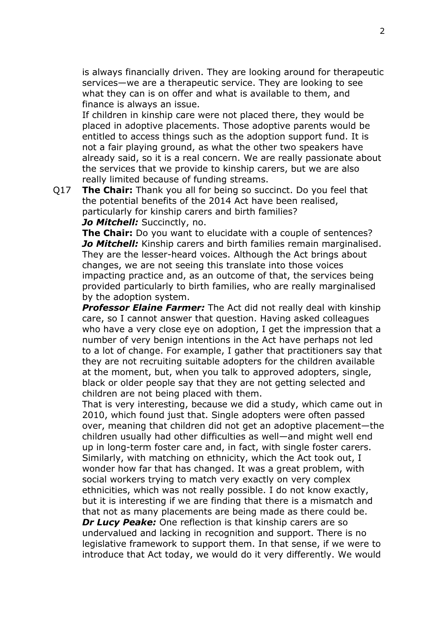is always financially driven. They are looking around for therapeutic services—we are a therapeutic service. They are looking to see what they can is on offer and what is available to them, and finance is always an issue.

If children in kinship care were not placed there, they would be placed in adoptive placements. Those adoptive parents would be entitled to access things such as the adoption support fund. It is not a fair playing ground, as what the other two speakers have already said, so it is a real concern. We are really passionate about the services that we provide to kinship carers, but we are also really limited because of funding streams.

Q17 **The Chair:** Thank you all for being so succinct. Do you feel that the potential benefits of the 2014 Act have been realised, particularly for kinship carers and birth families?

## *Jo Mitchell:* Succinctly, no.

**The Chair:** Do you want to elucidate with a couple of sentences? *Jo Mitchell:* Kinship carers and birth families remain marginalised. They are the lesser-heard voices. Although the Act brings about changes, we are not seeing this translate into those voices impacting practice and, as an outcome of that, the services being provided particularly to birth families, who are really marginalised by the adoption system.

**Professor Elaine Farmer:** The Act did not really deal with kinship care, so I cannot answer that question. Having asked colleagues who have a very close eye on adoption, I get the impression that a number of very benign intentions in the Act have perhaps not led to a lot of change. For example, I gather that practitioners say that they are not recruiting suitable adopters for the children available at the moment, but, when you talk to approved adopters, single, black or older people say that they are not getting selected and children are not being placed with them.

That is very interesting, because we did a study, which came out in 2010, which found just that. Single adopters were often passed over, meaning that children did not get an adoptive placement—the children usually had other difficulties as well—and might well end up in long-term foster care and, in fact, with single foster carers. Similarly, with matching on ethnicity, which the Act took out, I wonder how far that has changed. It was a great problem, with social workers trying to match very exactly on very complex ethnicities, which was not really possible. I do not know exactly, but it is interesting if we are finding that there is a mismatch and that not as many placements are being made as there could be. *Dr Lucy Peake:* One reflection is that kinship carers are so undervalued and lacking in recognition and support. There is no legislative framework to support them. In that sense, if we were to introduce that Act today, we would do it very differently. We would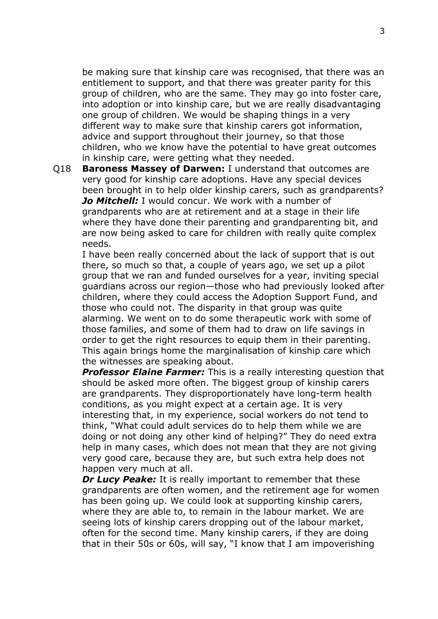be making sure that kinship care was recognised, that there was an entitlement to support, and that there was greater parity for this group of children, who are the same. They may go into foster care, into adoption or into kinship care, but we are really disadvantaging one group of children. We would be shaping things in a very different way to make sure that kinship carers got information, advice and support throughout their journey, so that those children, who we know have the potential to have great outcomes in kinship care, were getting what they needed.

Q18 **Baroness Massey of Darwen:** I understand that outcomes are very good for kinship care adoptions. Have any special devices been brought in to help older kinship carers, such as grandparents? *Jo Mitchell:* I would concur. We work with a number of grandparents who are at retirement and at a stage in their life where they have done their parenting and grandparenting bit, and are now being asked to care for children with really quite complex needs.

I have been really concerned about the lack of support that is out there, so much so that, a couple of years ago, we set up a pilot group that we ran and funded ourselves for a year, inviting special guardians across our region—those who had previously looked after children, where they could access the Adoption Support Fund, and those who could not. The disparity in that group was quite alarming. We went on to do some therapeutic work with some of those families, and some of them had to draw on life savings in order to get the right resources to equip them in their parenting. This again brings home the marginalisation of kinship care which the witnesses are speaking about.

**Professor Elaine Farmer:** This is a really interesting question that should be asked more often. The biggest group of kinship carers are grandparents. They disproportionately have long-term health conditions, as you might expect at a certain age. It is very interesting that, in my experience, social workers do not tend to think, "What could adult services do to help them while we are doing or not doing any other kind of helping?" They do need extra help in many cases, which does not mean that they are not giving very good care, because they are, but such extra help does not happen very much at all.

*Dr Lucy Peake:* It is really important to remember that these grandparents are often women, and the retirement age for women has been going up. We could look at supporting kinship carers, where they are able to, to remain in the labour market. We are seeing lots of kinship carers dropping out of the labour market, often for the second time. Many kinship carers, if they are doing that in their 50s or 60s, will say, "I know that I am impoverishing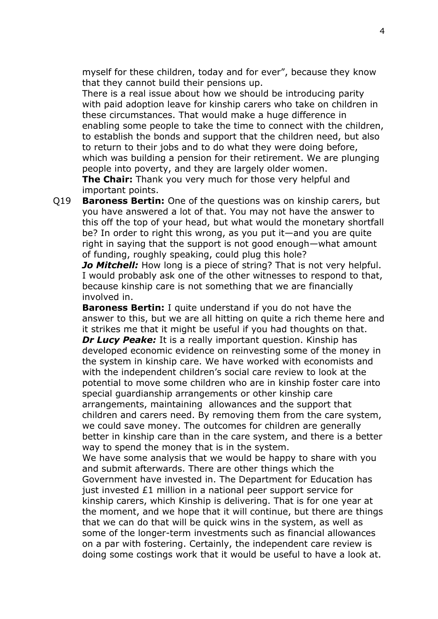myself for these children, today and for ever", because they know that they cannot build their pensions up.

There is a real issue about how we should be introducing parity with paid adoption leave for kinship carers who take on children in these circumstances. That would make a huge difference in enabling some people to take the time to connect with the children, to establish the bonds and support that the children need, but also to return to their jobs and to do what they were doing before, which was building a pension for their retirement. We are plunging people into poverty, and they are largely older women.

**The Chair:** Thank you very much for those very helpful and important points.

Q19 **Baroness Bertin:** One of the questions was on kinship carers, but you have answered a lot of that. You may not have the answer to this off the top of your head, but what would the monetary shortfall be? In order to right this wrong, as you put it—and you are quite right in saying that the support is not good enough—what amount of funding, roughly speaking, could plug this hole?

*Jo Mitchell:* How long is a piece of string? That is not very helpful. I would probably ask one of the other witnesses to respond to that, because kinship care is not something that we are financially involved in.

**Baroness Bertin:** I quite understand if you do not have the answer to this, but we are all hitting on quite a rich theme here and it strikes me that it might be useful if you had thoughts on that. *Dr Lucy Peake:* It is a really important question. Kinship has developed economic evidence on reinvesting some of the money in the system in kinship care. We have worked with economists and with the independent children's social care review to look at the potential to move some children who are in kinship foster care into special guardianship arrangements or other kinship care arrangements, maintaining allowances and the support that children and carers need. By removing them from the care system, we could save money. The outcomes for children are generally better in kinship care than in the care system, and there is a better way to spend the money that is in the system.

We have some analysis that we would be happy to share with you and submit afterwards. There are other things which the Government have invested in. The Department for Education has just invested £1 million in a national peer support service for kinship carers, which Kinship is delivering. That is for one year at the moment, and we hope that it will continue, but there are things that we can do that will be quick wins in the system, as well as some of the longer-term investments such as financial allowances on a par with fostering. Certainly, the independent care review is doing some costings work that it would be useful to have a look at.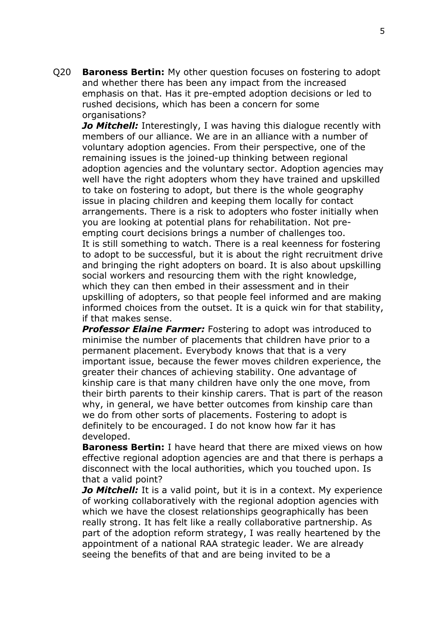Q20 **Baroness Bertin:** My other question focuses on fostering to adopt and whether there has been any impact from the increased emphasis on that. Has it pre-empted adoption decisions or led to rushed decisions, which has been a concern for some organisations?

*Jo Mitchell:* Interestingly, I was having this dialogue recently with members of our alliance. We are in an alliance with a number of voluntary adoption agencies. From their perspective, one of the remaining issues is the joined-up thinking between regional adoption agencies and the voluntary sector. Adoption agencies may well have the right adopters whom they have trained and upskilled to take on fostering to adopt, but there is the whole geography issue in placing children and keeping them locally for contact arrangements. There is a risk to adopters who foster initially when you are looking at potential plans for rehabilitation. Not preempting court decisions brings a number of challenges too. It is still something to watch. There is a real keenness for fostering to adopt to be successful, but it is about the right recruitment drive and bringing the right adopters on board. It is also about upskilling social workers and resourcing them with the right knowledge, which they can then embed in their assessment and in their upskilling of adopters, so that people feel informed and are making informed choices from the outset. It is a quick win for that stability, if that makes sense.

**Professor Elaine Farmer:** Fostering to adopt was introduced to minimise the number of placements that children have prior to a permanent placement. Everybody knows that that is a very important issue, because the fewer moves children experience, the greater their chances of achieving stability. One advantage of kinship care is that many children have only the one move, from their birth parents to their kinship carers. That is part of the reason why, in general, we have better outcomes from kinship care than we do from other sorts of placements. Fostering to adopt is definitely to be encouraged. I do not know how far it has developed.

**Baroness Bertin:** I have heard that there are mixed views on how effective regional adoption agencies are and that there is perhaps a disconnect with the local authorities, which you touched upon. Is that a valid point?

*Jo Mitchell:* It is a valid point, but it is in a context. My experience of working collaboratively with the regional adoption agencies with which we have the closest relationships geographically has been really strong. It has felt like a really collaborative partnership. As part of the adoption reform strategy, I was really heartened by the appointment of a national RAA strategic leader. We are already seeing the benefits of that and are being invited to be a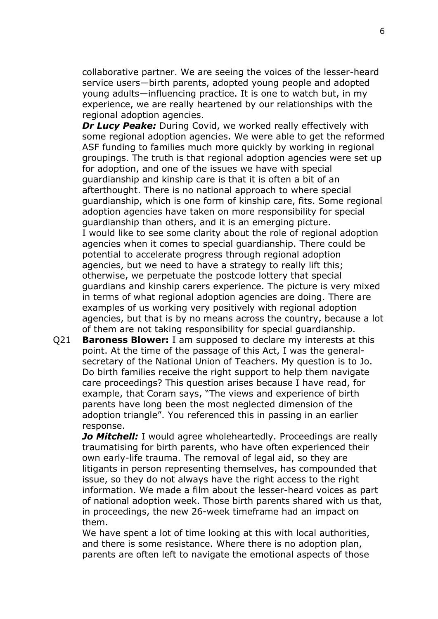collaborative partner. We are seeing the voices of the lesser-heard service users—birth parents, adopted young people and adopted young adults—influencing practice. It is one to watch but, in my experience, we are really heartened by our relationships with the regional adoption agencies.

*Dr Lucy Peake:* During Covid, we worked really effectively with some regional adoption agencies. We were able to get the reformed ASF funding to families much more quickly by working in regional groupings. The truth is that regional adoption agencies were set up for adoption, and one of the issues we have with special guardianship and kinship care is that it is often a bit of an afterthought. There is no national approach to where special guardianship, which is one form of kinship care, fits. Some regional adoption agencies have taken on more responsibility for special guardianship than others, and it is an emerging picture. I would like to see some clarity about the role of regional adoption agencies when it comes to special guardianship. There could be potential to accelerate progress through regional adoption agencies, but we need to have a strategy to really lift this; otherwise, we perpetuate the postcode lottery that special guardians and kinship carers experience. The picture is very mixed in terms of what regional adoption agencies are doing. There are examples of us working very positively with regional adoption agencies, but that is by no means across the country, because a lot of them are not taking responsibility for special guardianship.

Q21 **Baroness Blower:** I am supposed to declare my interests at this point. At the time of the passage of this Act, I was the generalsecretary of the National Union of Teachers. My question is to Jo. Do birth families receive the right support to help them navigate care proceedings? This question arises because I have read, for example, that Coram says, "The views and experience of birth parents have long been the most neglected dimension of the adoption triangle". You referenced this in passing in an earlier response.

*Jo Mitchell:* I would agree wholeheartedly. Proceedings are really traumatising for birth parents, who have often experienced their own early-life trauma. The removal of legal aid, so they are litigants in person representing themselves, has compounded that issue, so they do not always have the right access to the right information. We made a film about the lesser-heard voices as part of national adoption week. Those birth parents shared with us that, in proceedings, the new 26-week timeframe had an impact on them.

We have spent a lot of time looking at this with local authorities, and there is some resistance. Where there is no adoption plan, parents are often left to navigate the emotional aspects of those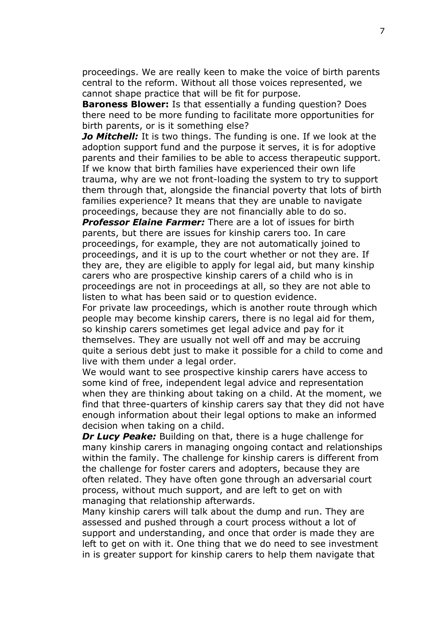proceedings. We are really keen to make the voice of birth parents central to the reform. Without all those voices represented, we cannot shape practice that will be fit for purpose.

**Baroness Blower:** Is that essentially a funding question? Does there need to be more funding to facilitate more opportunities for birth parents, or is it something else?

*Jo Mitchell:* It is two things. The funding is one. If we look at the adoption support fund and the purpose it serves, it is for adoptive parents and their families to be able to access therapeutic support. If we know that birth families have experienced their own life trauma, why are we not front-loading the system to try to support them through that, alongside the financial poverty that lots of birth families experience? It means that they are unable to navigate proceedings, because they are not financially able to do so.

*Professor Elaine Farmer:* There are a lot of issues for birth parents, but there are issues for kinship carers too. In care proceedings, for example, they are not automatically joined to proceedings, and it is up to the court whether or not they are. If they are, they are eligible to apply for legal aid, but many kinship carers who are prospective kinship carers of a child who is in proceedings are not in proceedings at all, so they are not able to listen to what has been said or to question evidence.

For private law proceedings, which is another route through which people may become kinship carers, there is no legal aid for them, so kinship carers sometimes get legal advice and pay for it themselves. They are usually not well off and may be accruing quite a serious debt just to make it possible for a child to come and live with them under a legal order.

We would want to see prospective kinship carers have access to some kind of free, independent legal advice and representation when they are thinking about taking on a child. At the moment, we find that three-quarters of kinship carers say that they did not have enough information about their legal options to make an informed decision when taking on a child.

*Dr Lucy Peake:* Building on that, there is a huge challenge for many kinship carers in managing ongoing contact and relationships within the family. The challenge for kinship carers is different from the challenge for foster carers and adopters, because they are often related. They have often gone through an adversarial court process, without much support, and are left to get on with managing that relationship afterwards.

Many kinship carers will talk about the dump and run. They are assessed and pushed through a court process without a lot of support and understanding, and once that order is made they are left to get on with it. One thing that we do need to see investment in is greater support for kinship carers to help them navigate that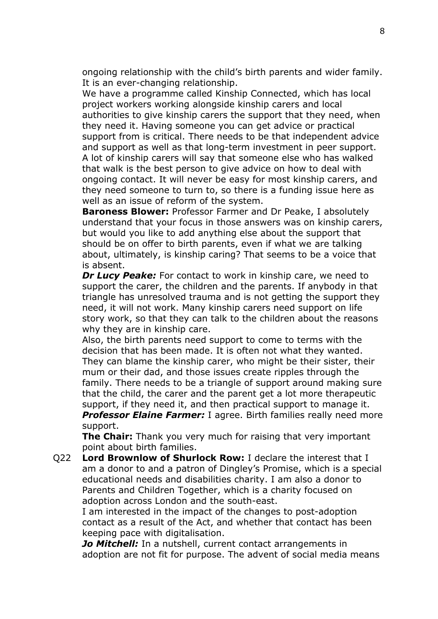ongoing relationship with the child's birth parents and wider family. It is an ever-changing relationship.

We have a programme called Kinship Connected, which has local project workers working alongside kinship carers and local authorities to give kinship carers the support that they need, when they need it. Having someone you can get advice or practical support from is critical. There needs to be that independent advice and support as well as that long-term investment in peer support. A lot of kinship carers will say that someone else who has walked that walk is the best person to give advice on how to deal with ongoing contact. It will never be easy for most kinship carers, and they need someone to turn to, so there is a funding issue here as well as an issue of reform of the system.

**Baroness Blower:** Professor Farmer and Dr Peake, I absolutely understand that your focus in those answers was on kinship carers, but would you like to add anything else about the support that should be on offer to birth parents, even if what we are talking about, ultimately, is kinship caring? That seems to be a voice that is absent.

*Dr Lucy Peake:* For contact to work in kinship care, we need to support the carer, the children and the parents. If anybody in that triangle has unresolved trauma and is not getting the support they need, it will not work. Many kinship carers need support on life story work, so that they can talk to the children about the reasons why they are in kinship care.

Also, the birth parents need support to come to terms with the decision that has been made. It is often not what they wanted. They can blame the kinship carer, who might be their sister, their mum or their dad, and those issues create ripples through the family. There needs to be a triangle of support around making sure that the child, the carer and the parent get a lot more therapeutic support, if they need it, and then practical support to manage it. **Professor Elaine Farmer:** I agree. Birth families really need more support.

**The Chair:** Thank you very much for raising that very important point about birth families.

Q22 **Lord Brownlow of Shurlock Row:** I declare the interest that I am a donor to and a patron of Dingley's Promise, which is a special educational needs and disabilities charity. I am also a donor to Parents and Children Together, which is a charity focused on adoption across London and the south-east.

I am interested in the impact of the changes to post-adoption contact as a result of the Act, and whether that contact has been keeping pace with digitalisation.

*Jo Mitchell:* In a nutshell, current contact arrangements in adoption are not fit for purpose. The advent of social media means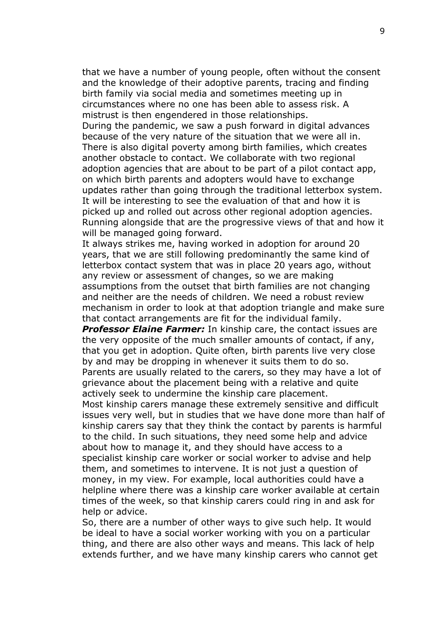that we have a number of young people, often without the consent and the knowledge of their adoptive parents, tracing and finding birth family via social media and sometimes meeting up in circumstances where no one has been able to assess risk. A mistrust is then engendered in those relationships. During the pandemic, we saw a push forward in digital advances because of the very nature of the situation that we were all in. There is also digital poverty among birth families, which creates another obstacle to contact. We collaborate with two regional adoption agencies that are about to be part of a pilot contact app, on which birth parents and adopters would have to exchange updates rather than going through the traditional letterbox system. It will be interesting to see the evaluation of that and how it is picked up and rolled out across other regional adoption agencies. Running alongside that are the progressive views of that and how it will be managed going forward.

It always strikes me, having worked in adoption for around 20 years, that we are still following predominantly the same kind of letterbox contact system that was in place 20 years ago, without any review or assessment of changes, so we are making assumptions from the outset that birth families are not changing and neither are the needs of children. We need a robust review mechanism in order to look at that adoption triangle and make sure that contact arrangements are fit for the individual family.

**Professor Elaine Farmer:** In kinship care, the contact issues are the very opposite of the much smaller amounts of contact, if any, that you get in adoption. Quite often, birth parents live very close by and may be dropping in whenever it suits them to do so. Parents are usually related to the carers, so they may have a lot of grievance about the placement being with a relative and quite actively seek to undermine the kinship care placement.

Most kinship carers manage these extremely sensitive and difficult issues very well, but in studies that we have done more than half of kinship carers say that they think the contact by parents is harmful to the child. In such situations, they need some help and advice about how to manage it, and they should have access to a specialist kinship care worker or social worker to advise and help them, and sometimes to intervene. It is not just a question of money, in my view. For example, local authorities could have a helpline where there was a kinship care worker available at certain times of the week, so that kinship carers could ring in and ask for help or advice.

So, there are a number of other ways to give such help. It would be ideal to have a social worker working with you on a particular thing, and there are also other ways and means. This lack of help extends further, and we have many kinship carers who cannot get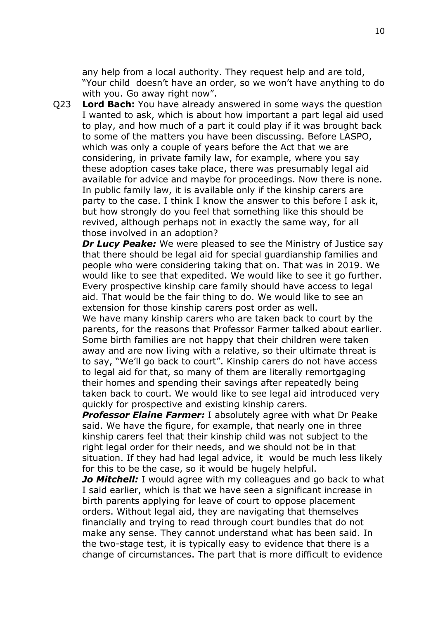any help from a local authority. They request help and are told, "Your child doesn't have an order, so we won't have anything to do with you. Go away right now".

Q23 **Lord Bach:** You have already answered in some ways the question I wanted to ask, which is about how important a part legal aid used to play, and how much of a part it could play if it was brought back to some of the matters you have been discussing. Before LASPO, which was only a couple of years before the Act that we are considering, in private family law, for example, where you say these adoption cases take place, there was presumably legal aid available for advice and maybe for proceedings. Now there is none. In public family law, it is available only if the kinship carers are party to the case. I think I know the answer to this before I ask it, but how strongly do you feel that something like this should be revived, although perhaps not in exactly the same way, for all those involved in an adoption?

*Dr Lucy Peake:* We were pleased to see the Ministry of Justice say that there should be legal aid for special guardianship families and people who were considering taking that on. That was in 2019. We would like to see that expedited. We would like to see it go further. Every prospective kinship care family should have access to legal aid. That would be the fair thing to do. We would like to see an extension for those kinship carers post order as well.

We have many kinship carers who are taken back to court by the parents, for the reasons that Professor Farmer talked about earlier. Some birth families are not happy that their children were taken away and are now living with a relative, so their ultimate threat is to say, "We'll go back to court". Kinship carers do not have access to legal aid for that, so many of them are literally remortgaging their homes and spending their savings after repeatedly being taken back to court. We would like to see legal aid introduced very quickly for prospective and existing kinship carers.

**Professor Elaine Farmer:** I absolutely agree with what Dr Peake said. We have the figure, for example, that nearly one in three kinship carers feel that their kinship child was not subject to the right legal order for their needs, and we should not be in that situation. If they had had legal advice, it would be much less likely for this to be the case, so it would be hugely helpful.

*Jo Mitchell:* I would agree with my colleagues and go back to what I said earlier, which is that we have seen a significant increase in birth parents applying for leave of court to oppose placement orders. Without legal aid, they are navigating that themselves financially and trying to read through court bundles that do not make any sense. They cannot understand what has been said. In the two-stage test, it is typically easy to evidence that there is a change of circumstances. The part that is more difficult to evidence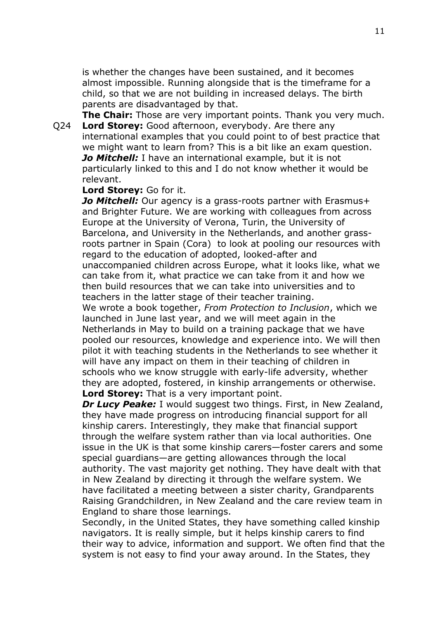is whether the changes have been sustained, and it becomes almost impossible. Running alongside that is the timeframe for a child, so that we are not building in increased delays. The birth parents are disadvantaged by that.

**The Chair:** Those are very important points. Thank you very much. Q24 **Lord Storey:** Good afternoon, everybody. Are there any international examples that you could point to of best practice that we might want to learn from? This is a bit like an exam question. *Jo Mitchell:* I have an international example, but it is not particularly linked to this and I do not know whether it would be relevant.

## **Lord Storey:** Go for it.

*Jo Mitchell:* Our agency is a grass-roots partner with Erasmus+ and Brighter Future. We are working with colleagues from across Europe at the University of Verona, Turin, the University of Barcelona, and University in the Netherlands, and another grassroots partner in Spain (Cora) to look at pooling our resources with regard to the education of adopted, looked-after and unaccompanied children across Europe, what it looks like, what we can take from it, what practice we can take from it and how we then build resources that we can take into universities and to teachers in the latter stage of their teacher training.

We wrote a book together, *From Protection to Inclusion*, which we launched in June last year, and we will meet again in the Netherlands in May to build on a training package that we have pooled our resources, knowledge and experience into. We will then pilot it with teaching students in the Netherlands to see whether it will have any impact on them in their teaching of children in schools who we know struggle with early-life adversity, whether they are adopted, fostered, in kinship arrangements or otherwise. **Lord Storey:** That is a very important point.

*Dr Lucy Peake:* I would suggest two things. First, in New Zealand, they have made progress on introducing financial support for all kinship carers. Interestingly, they make that financial support through the welfare system rather than via local authorities. One issue in the UK is that some kinship carers—foster carers and some special guardians—are getting allowances through the local authority. The vast majority get nothing. They have dealt with that in New Zealand by directing it through the welfare system. We have facilitated a meeting between a sister charity, Grandparents Raising Grandchildren, in New Zealand and the care review team in England to share those learnings.

Secondly, in the United States, they have something called kinship navigators. It is really simple, but it helps kinship carers to find their way to advice, information and support. We often find that the system is not easy to find your away around. In the States, they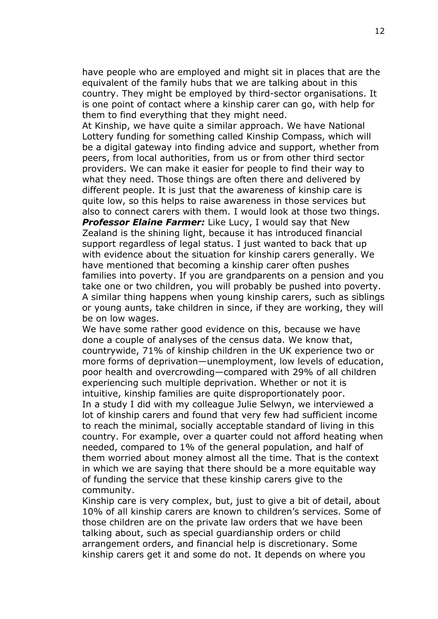have people who are employed and might sit in places that are the equivalent of the family hubs that we are talking about in this country. They might be employed by third-sector organisations. It is one point of contact where a kinship carer can go, with help for them to find everything that they might need.

At Kinship, we have quite a similar approach. We have National Lottery funding for something called Kinship Compass, which will be a digital gateway into finding advice and support, whether from peers, from local authorities, from us or from other third sector providers. We can make it easier for people to find their way to what they need. Those things are often there and delivered by different people. It is just that the awareness of kinship care is quite low, so this helps to raise awareness in those services but also to connect carers with them. I would look at those two things.

**Professor Elaine Farmer:** Like Lucy, I would say that New Zealand is the shining light, because it has introduced financial support regardless of legal status. I just wanted to back that up with evidence about the situation for kinship carers generally. We have mentioned that becoming a kinship carer often pushes families into poverty. If you are grandparents on a pension and you take one or two children, you will probably be pushed into poverty. A similar thing happens when young kinship carers, such as siblings or young aunts, take children in since, if they are working, they will be on low wages.

We have some rather good evidence on this, because we have done a couple of analyses of the census data. We know that, countrywide, 71% of kinship children in the UK experience two or more forms of deprivation—unemployment, low levels of education, poor health and overcrowding—compared with 29% of all children experiencing such multiple deprivation. Whether or not it is intuitive, kinship families are quite disproportionately poor. In a study I did with my colleague Julie Selwyn, we interviewed a lot of kinship carers and found that very few had sufficient income to reach the minimal, socially acceptable standard of living in this country. For example, over a quarter could not afford heating when needed, compared to 1% of the general population, and half of them worried about money almost all the time. That is the context in which we are saying that there should be a more equitable way of funding the service that these kinship carers give to the community.

Kinship care is very complex, but, just to give a bit of detail, about 10% of all kinship carers are known to children's services. Some of those children are on the private law orders that we have been talking about, such as special guardianship orders or child arrangement orders, and financial help is discretionary. Some kinship carers get it and some do not. It depends on where you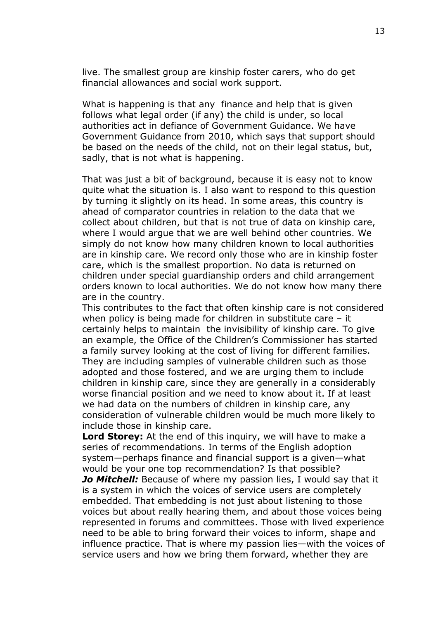live. The smallest group are kinship foster carers, who do get financial allowances and social work support.

What is happening is that any finance and help that is given follows what legal order (if any) the child is under, so local authorities act in defiance of Government Guidance. We have Government Guidance from 2010, which says that support should be based on the needs of the child, not on their legal status, but, sadly, that is not what is happening.

That was just a bit of background, because it is easy not to know quite what the situation is. I also want to respond to this question by turning it slightly on its head. In some areas, this country is ahead of comparator countries in relation to the data that we collect about children, but that is not true of data on kinship care, where I would argue that we are well behind other countries. We simply do not know how many children known to local authorities are in kinship care. We record only those who are in kinship foster care, which is the smallest proportion. No data is returned on children under special guardianship orders and child arrangement orders known to local authorities. We do not know how many there are in the country.

This contributes to the fact that often kinship care is not considered when policy is being made for children in substitute care – it certainly helps to maintain the invisibility of kinship care. To give an example, the Office of the Children's Commissioner has started a family survey looking at the cost of living for different families. They are including samples of vulnerable children such as those adopted and those fostered, and we are urging them to include children in kinship care, since they are generally in a considerably worse financial position and we need to know about it. If at least we had data on the numbers of children in kinship care, any consideration of vulnerable children would be much more likely to include those in kinship care.

**Lord Storey:** At the end of this inquiry, we will have to make a series of recommendations. In terms of the English adoption system—perhaps finance and financial support is a given—what would be your one top recommendation? Is that possible?

*Jo Mitchell:* Because of where my passion lies, I would say that it is a system in which the voices of service users are completely embedded. That embedding is not just about listening to those voices but about really hearing them, and about those voices being represented in forums and committees. Those with lived experience need to be able to bring forward their voices to inform, shape and influence practice. That is where my passion lies—with the voices of service users and how we bring them forward, whether they are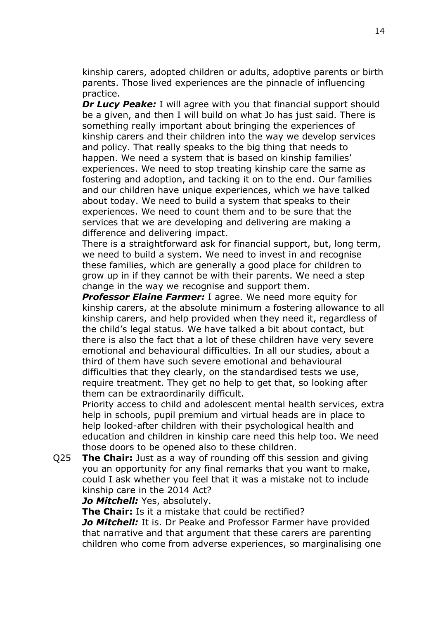kinship carers, adopted children or adults, adoptive parents or birth parents. Those lived experiences are the pinnacle of influencing practice.

*Dr Lucy Peake:* I will agree with you that financial support should be a given, and then I will build on what Jo has just said. There is something really important about bringing the experiences of kinship carers and their children into the way we develop services and policy. That really speaks to the big thing that needs to happen. We need a system that is based on kinship families' experiences. We need to stop treating kinship care the same as fostering and adoption, and tacking it on to the end. Our families and our children have unique experiences, which we have talked about today. We need to build a system that speaks to their experiences. We need to count them and to be sure that the services that we are developing and delivering are making a difference and delivering impact.

There is a straightforward ask for financial support, but, long term, we need to build a system. We need to invest in and recognise these families, which are generally a good place for children to grow up in if they cannot be with their parents. We need a step change in the way we recognise and support them.

**Professor Elaine Farmer:** I agree. We need more equity for kinship carers, at the absolute minimum a fostering allowance to all kinship carers, and help provided when they need it, regardless of the child's legal status. We have talked a bit about contact, but there is also the fact that a lot of these children have very severe emotional and behavioural difficulties. In all our studies, about a third of them have such severe emotional and behavioural difficulties that they clearly, on the standardised tests we use, require treatment. They get no help to get that, so looking after them can be extraordinarily difficult.

Priority access to child and adolescent mental health services, extra help in schools, pupil premium and virtual heads are in place to help looked-after children with their psychological health and education and children in kinship care need this help too. We need those doors to be opened also to these children.

Q25 **The Chair:** Just as a way of rounding off this session and giving you an opportunity for any final remarks that you want to make, could I ask whether you feel that it was a mistake not to include kinship care in the 2014 Act?

*Jo Mitchell:* Yes, absolutely.

**The Chair:** Is it a mistake that could be rectified?

*Jo Mitchell:* It is. Dr Peake and Professor Farmer have provided that narrative and that argument that these carers are parenting children who come from adverse experiences, so marginalising one